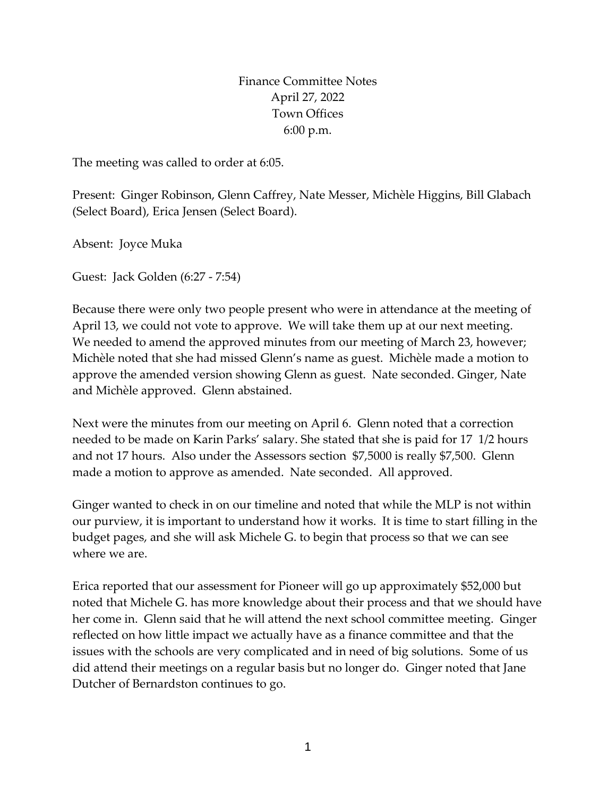Finance Committee Notes April 27, 2022 Town Offices 6:00 p.m.

The meeting was called to order at 6:05.

Present: Ginger Robinson, Glenn Caffrey, Nate Messer, Michèle Higgins, Bill Glabach (Select Board), Erica Jensen (Select Board).

Absent: Joyce Muka

Guest: Jack Golden (6:27 - 7:54)

Because there were only two people present who were in attendance at the meeting of April 13, we could not vote to approve. We will take them up at our next meeting. We needed to amend the approved minutes from our meeting of March 23, however; Michèle noted that she had missed Glenn's name as guest. Michèle made a motion to approve the amended version showing Glenn as guest. Nate seconded. Ginger, Nate and Michèle approved. Glenn abstained.

Next were the minutes from our meeting on April 6. Glenn noted that a correction needed to be made on Karin Parks' salary. She stated that she is paid for 17 1/2 hours and not 17 hours. Also under the Assessors section \$7,5000 is really \$7,500. Glenn made a motion to approve as amended. Nate seconded. All approved.

Ginger wanted to check in on our timeline and noted that while the MLP is not within our purview, it is important to understand how it works. It is time to start filling in the budget pages, and she will ask Michele G. to begin that process so that we can see where we are.

Erica reported that our assessment for Pioneer will go up approximately \$52,000 but noted that Michele G. has more knowledge about their process and that we should have her come in. Glenn said that he will attend the next school committee meeting. Ginger reflected on how little impact we actually have as a finance committee and that the issues with the schools are very complicated and in need of big solutions. Some of us did attend their meetings on a regular basis but no longer do. Ginger noted that Jane Dutcher of Bernardston continues to go.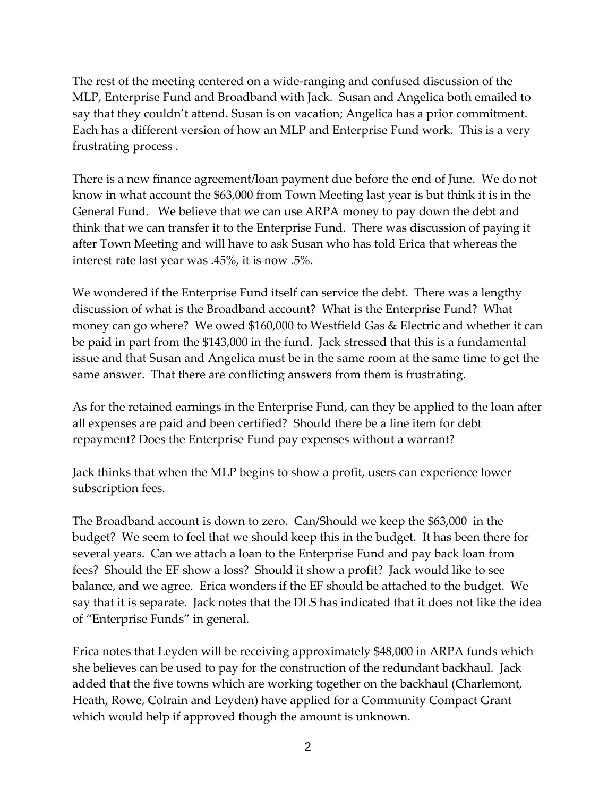The rest of the meeting centered on a wide-ranging and confused discussion of the MLP, Enterprise Fund and Broadband with Jack. Susan and Angelica both emailed to say that they couldn't attend. Susan is on vacation; Angelica has a prior commitment. Each has a different version of how an MLP and Enterprise Fund work. This is a very frustrating process .

There is a new finance agreement/loan payment due before the end of June. We do not know in what account the \$63,000 from Town Meeting last year is but think it is in the General Fund. We believe that we can use ARPA money to pay down the debt and think that we can transfer it to the Enterprise Fund. There was discussion of paying it after Town Meeting and will have to ask Susan who has told Erica that whereas the interest rate last year was .45%, it is now .5%.

We wondered if the Enterprise Fund itself can service the debt. There was a lengthy discussion of what is the Broadband account? What is the Enterprise Fund? What money can go where? We owed \$160,000 to Westfield Gas & Electric and whether it can be paid in part from the \$143,000 in the fund. Jack stressed that this is a fundamental issue and that Susan and Angelica must be in the same room at the same time to get the same answer. That there are conflicting answers from them is frustrating.

As for the retained earnings in the Enterprise Fund, can they be applied to the loan after all expenses are paid and been certified? Should there be a line item for debt repayment? Does the Enterprise Fund pay expenses without a warrant?

Jack thinks that when the MLP begins to show a profit, users can experience lower subscription fees.

The Broadband account is down to zero. Can/Should we keep the \$63,000 in the budget? We seem to feel that we should keep this in the budget. It has been there for several years. Can we attach a loan to the Enterprise Fund and pay back loan from fees? Should the EF show a loss? Should it show a profit? Jack would like to see balance, and we agree. Erica wonders if the EF should be attached to the budget. We say that it is separate. Jack notes that the DLS has indicated that it does not like the idea of "Enterprise Funds" in general.

Erica notes that Leyden will be receiving approximately \$48,000 in ARPA funds which she believes can be used to pay for the construction of the redundant backhaul. Jack added that the five towns which are working together on the backhaul (Charlemont, Heath, Rowe, Colrain and Leyden) have applied for a Community Compact Grant which would help if approved though the amount is unknown.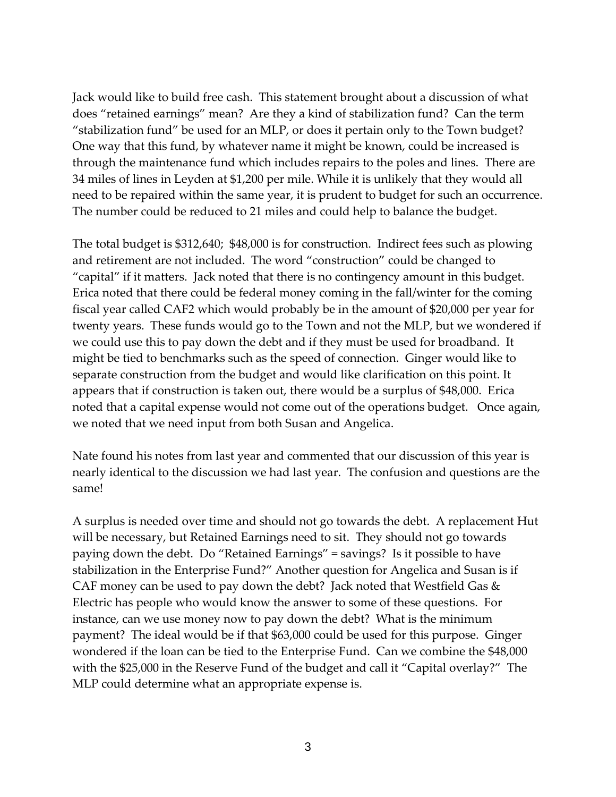Jack would like to build free cash. This statement brought about a discussion of what does "retained earnings" mean? Are they a kind of stabilization fund? Can the term "stabilization fund" be used for an MLP, or does it pertain only to the Town budget? One way that this fund, by whatever name it might be known, could be increased is through the maintenance fund which includes repairs to the poles and lines. There are 34 miles of lines in Leyden at \$1,200 per mile. While it is unlikely that they would all need to be repaired within the same year, it is prudent to budget for such an occurrence. The number could be reduced to 21 miles and could help to balance the budget.

The total budget is \$312,640; \$48,000 is for construction. Indirect fees such as plowing and retirement are not included. The word "construction" could be changed to "capital" if it matters. Jack noted that there is no contingency amount in this budget. Erica noted that there could be federal money coming in the fall/winter for the coming fiscal year called CAF2 which would probably be in the amount of \$20,000 per year for twenty years. These funds would go to the Town and not the MLP, but we wondered if we could use this to pay down the debt and if they must be used for broadband. It might be tied to benchmarks such as the speed of connection. Ginger would like to separate construction from the budget and would like clarification on this point. It appears that if construction is taken out, there would be a surplus of \$48,000. Erica noted that a capital expense would not come out of the operations budget. Once again, we noted that we need input from both Susan and Angelica.

Nate found his notes from last year and commented that our discussion of this year is nearly identical to the discussion we had last year. The confusion and questions are the same!

A surplus is needed over time and should not go towards the debt. A replacement Hut will be necessary, but Retained Earnings need to sit. They should not go towards paying down the debt. Do "Retained Earnings" = savings? Is it possible to have stabilization in the Enterprise Fund?" Another question for Angelica and Susan is if CAF money can be used to pay down the debt? Jack noted that Westfield Gas & Electric has people who would know the answer to some of these questions. For instance, can we use money now to pay down the debt? What is the minimum payment? The ideal would be if that \$63,000 could be used for this purpose. Ginger wondered if the loan can be tied to the Enterprise Fund. Can we combine the \$48,000 with the \$25,000 in the Reserve Fund of the budget and call it "Capital overlay?" The MLP could determine what an appropriate expense is.